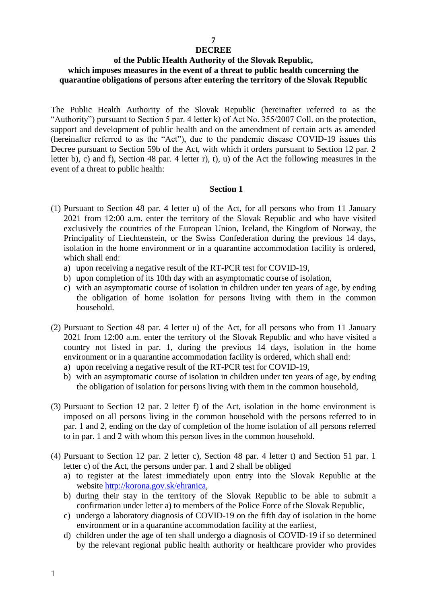## **7**

## **DECREE**

## **of the Public Health Authority of the Slovak Republic, which imposes measures in the event of a threat to public health concerning the quarantine obligations of persons after entering the territory of the Slovak Republic**

The Public Health Authority of the Slovak Republic (hereinafter referred to as the "Authority") pursuant to Section 5 par. 4 letter k) of Act No. 355/2007 Coll. on the protection, support and development of public health and on the amendment of certain acts as amended (hereinafter referred to as the "Act"), due to the pandemic disease COVID-19 issues this Decree pursuant to Section 59b of the Act, with which it orders pursuant to Section 12 par. 2 letter b), c) and f), Section 48 par. 4 letter r), t), u) of the Act the following measures in the event of a threat to public health:

- (1) Pursuant to Section 48 par. 4 letter u) of the Act, for all persons who from 11 January 2021 from 12:00 a.m. enter the territory of the Slovak Republic and who have visited exclusively the countries of the European Union, Iceland, the Kingdom of Norway, the Principality of Liechtenstein, or the Swiss Confederation during the previous 14 days, isolation in the home environment or in a quarantine accommodation facility is ordered, which shall end:
	- a) upon receiving a negative result of the RT-PCR test for COVID-19,
	- b) upon completion of its 10th day with an asymptomatic course of isolation,
	- c) with an asymptomatic course of isolation in children under ten years of age, by ending the obligation of home isolation for persons living with them in the common household.
- (2) Pursuant to Section 48 par. 4 letter u) of the Act, for all persons who from 11 January 2021 from 12:00 a.m. enter the territory of the Slovak Republic and who have visited a country not listed in par. 1, during the previous 14 days, isolation in the home environment or in a quarantine accommodation facility is ordered, which shall end:
	- a) upon receiving a negative result of the RT-PCR test for COVID-19,
	- b) with an asymptomatic course of isolation in children under ten years of age, by ending the obligation of isolation for persons living with them in the common household,
- (3) Pursuant to Section 12 par. 2 letter f) of the Act, isolation in the home environment is imposed on all persons living in the common household with the persons referred to in par. 1 and 2, ending on the day of completion of the home isolation of all persons referred to in par. 1 and 2 with whom this person lives in the common household.
- (4) Pursuant to Section 12 par. 2 letter c), Section 48 par. 4 letter t) and Section 51 par. 1 letter c) of the Act, the persons under par. 1 and 2 shall be obliged
	- a) to register at the latest immediately upon entry into the Slovak Republic at the website [http://korona.gov.sk/ehranica,](http://korona.gov.sk/ehranica)
	- b) during their stay in the territory of the Slovak Republic to be able to submit a confirmation under letter a) to members of the Police Force of the Slovak Republic,
	- c) undergo a laboratory diagnosis of COVID-19 on the fifth day of isolation in the home environment or in a quarantine accommodation facility at the earliest,
	- d) children under the age of ten shall undergo a diagnosis of COVID-19 if so determined by the relevant regional public health authority or healthcare provider who provides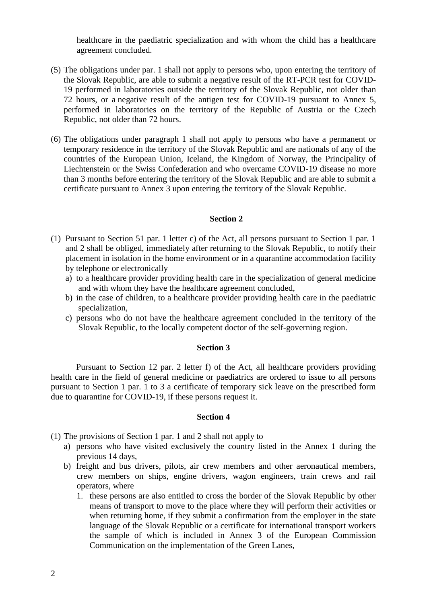healthcare in the paediatric specialization and with whom the child has a healthcare agreement concluded.

- (5) The obligations under par. 1 shall not apply to persons who, upon entering the territory of the Slovak Republic, are able to submit a negative result of the RT-PCR test for COVID-19 performed in laboratories outside the territory of the Slovak Republic, not older than 72 hours, or a negative result of the antigen test for COVID-19 pursuant to Annex 5, performed in laboratories on the territory of the Republic of Austria or the Czech Republic, not older than 72 hours.
- (6) The obligations under paragraph 1 shall not apply to persons who have a permanent or temporary residence in the territory of the Slovak Republic and are nationals of any of the countries of the European Union, Iceland, the Kingdom of Norway, the Principality of Liechtenstein or the Swiss Confederation and who overcame COVID-19 disease no more than 3 months before entering the territory of the Slovak Republic and are able to submit a certificate pursuant to Annex 3 upon entering the territory of the Slovak Republic.

## **Section 2**

- (1) Pursuant to Section 51 par. 1 letter c) of the Act, all persons pursuant to Section 1 par. 1 and 2 shall be obliged, immediately after returning to the Slovak Republic, to notify their placement in isolation in the home environment or in a quarantine accommodation facility by telephone or electronically
	- a) to a healthcare provider providing health care in the specialization of general medicine and with whom they have the healthcare agreement concluded,
	- b) in the case of children, to a healthcare provider providing health care in the paediatric specialization,
	- c) persons who do not have the healthcare agreement concluded in the territory of the Slovak Republic, to the locally competent doctor of the self-governing region.

#### **Section 3**

Pursuant to Section 12 par. 2 letter f) of the Act, all healthcare providers providing health care in the field of general medicine or paediatrics are ordered to issue to all persons pursuant to Section 1 par. 1 to 3 a certificate of temporary sick leave on the prescribed form due to quarantine for COVID-19, if these persons request it.

- (1) The provisions of Section 1 par. 1 and 2 shall not apply to
	- a) persons who have visited exclusively the country listed in the Annex 1 during the previous 14 days,
	- b) freight and bus drivers, pilots, air crew members and other aeronautical members, crew members on ships, engine drivers, wagon engineers, train crews and rail operators, where
		- 1. these persons are also entitled to cross the border of the Slovak Republic by other means of transport to move to the place where they will perform their activities or when returning home, if they submit a confirmation from the employer in the state language of the Slovak Republic or a certificate for international transport workers the sample of which is included in Annex 3 of the European Commission Communication on the implementation of the Green Lanes,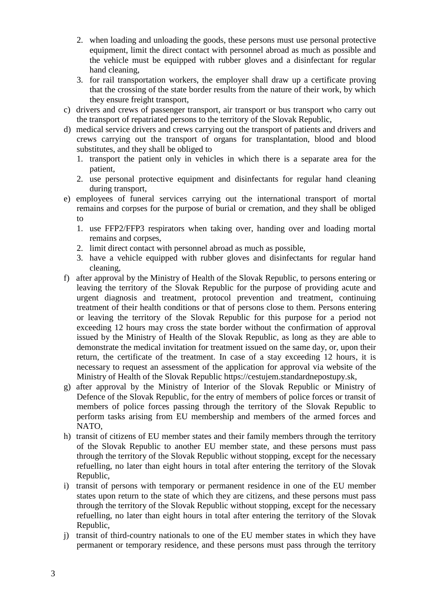- 2. when loading and unloading the goods, these persons must use personal protective equipment, limit the direct contact with personnel abroad as much as possible and the vehicle must be equipped with rubber gloves and a disinfectant for regular hand cleaning,
- 3. for rail transportation workers, the employer shall draw up a certificate proving that the crossing of the state border results from the nature of their work, by which they ensure freight transport,
- c) drivers and crews of passenger transport, air transport or bus transport who carry out the transport of repatriated persons to the territory of the Slovak Republic,
- d) medical service drivers and crews carrying out the transport of patients and drivers and crews carrying out the transport of organs for transplantation, blood and blood substitutes, and they shall be obliged to
	- 1. transport the patient only in vehicles in which there is a separate area for the patient,
	- 2. use personal protective equipment and disinfectants for regular hand cleaning during transport,
- e) employees of funeral services carrying out the international transport of mortal remains and corpses for the purpose of burial or cremation, and they shall be obliged to
	- 1. use FFP2/FFP3 respirators when taking over, handing over and loading mortal remains and corpses,
	- 2. limit direct contact with personnel abroad as much as possible,
	- 3. have a vehicle equipped with rubber gloves and disinfectants for regular hand cleaning,
- f) after approval by the Ministry of Health of the Slovak Republic, to persons entering or leaving the territory of the Slovak Republic for the purpose of providing acute and urgent diagnosis and treatment, protocol prevention and treatment, continuing treatment of their health conditions or that of persons close to them. Persons entering or leaving the territory of the Slovak Republic for this purpose for a period not exceeding 12 hours may cross the state border without the confirmation of approval issued by the Ministry of Health of the Slovak Republic, as long as they are able to demonstrate the medical invitation for treatment issued on the same day, or, upon their return, the certificate of the treatment. In case of a stay exceeding 12 hours, it is necessary to request an assessment of the application for approval via website of the Ministry of Health of the Slovak Republic https://cestujem.standardnepostupy.sk,
- g) after approval by the Ministry of Interior of the Slovak Republic or Ministry of Defence of the Slovak Republic, for the entry of members of police forces or transit of members of police forces passing through the territory of the Slovak Republic to perform tasks arising from EU membership and members of the armed forces and NATO,
- h) transit of citizens of EU member states and their family members through the territory of the Slovak Republic to another EU member state, and these persons must pass through the territory of the Slovak Republic without stopping, except for the necessary refuelling, no later than eight hours in total after entering the territory of the Slovak Republic,
- i) transit of persons with temporary or permanent residence in one of the EU member states upon return to the state of which they are citizens, and these persons must pass through the territory of the Slovak Republic without stopping, except for the necessary refuelling, no later than eight hours in total after entering the territory of the Slovak Republic,
- j) transit of third-country nationals to one of the EU member states in which they have permanent or temporary residence, and these persons must pass through the territory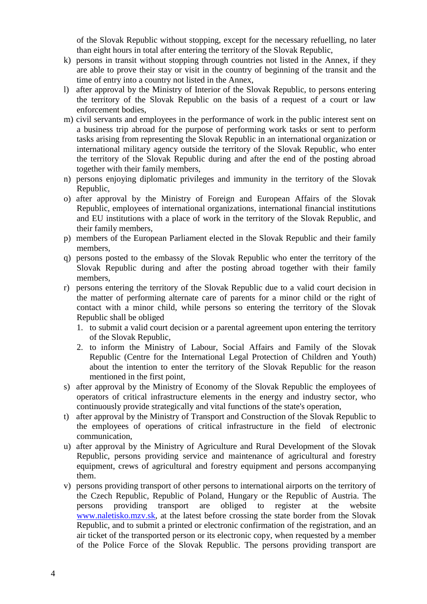of the Slovak Republic without stopping, except for the necessary refuelling, no later than eight hours in total after entering the territory of the Slovak Republic,

- k) persons in transit without stopping through countries not listed in the Annex, if they are able to prove their stay or visit in the country of beginning of the transit and the time of entry into a country not listed in the Annex,
- l) after approval by the Ministry of Interior of the Slovak Republic, to persons entering the territory of the Slovak Republic on the basis of a request of a court or law enforcement bodies,
- m) civil servants and employees in the performance of work in the public interest sent on a business trip abroad for the purpose of performing work tasks or sent to perform tasks arising from representing the Slovak Republic in an international organization or international military agency outside the territory of the Slovak Republic, who enter the territory of the Slovak Republic during and after the end of the posting abroad together with their family members,
- n) persons enjoying diplomatic privileges and immunity in the territory of the Slovak Republic,
- o) after approval by the Ministry of Foreign and European Affairs of the Slovak Republic, employees of international organizations, international financial institutions and EU institutions with a place of work in the territory of the Slovak Republic, and their family members,
- p) members of the European Parliament elected in the Slovak Republic and their family members,
- q) persons posted to the embassy of the Slovak Republic who enter the territory of the Slovak Republic during and after the posting abroad together with their family members,
- r) persons entering the territory of the Slovak Republic due to a valid court decision in the matter of performing alternate care of parents for a minor child or the right of contact with a minor child, while persons so entering the territory of the Slovak Republic shall be obliged
	- 1. to submit a valid court decision or a parental agreement upon entering the territory of the Slovak Republic,
	- 2. to inform the Ministry of Labour, Social Affairs and Family of the Slovak Republic (Centre for the International Legal Protection of Children and Youth) about the intention to enter the territory of the Slovak Republic for the reason mentioned in the first point,
- s) after approval by the Ministry of Economy of the Slovak Republic the employees of operators of critical infrastructure elements in the energy and industry sector, who continuously provide strategically and vital functions of the state's operation,
- t) after approval by the Ministry of Transport and Construction of the Slovak Republic to the employees of operations of critical infrastructure in the field of electronic communication,
- u) after approval by the Ministry of Agriculture and Rural Development of the Slovak Republic, persons providing service and maintenance of agricultural and forestry equipment, crews of agricultural and forestry equipment and persons accompanying them.
- v) persons providing transport of other persons to international airports on the territory of the Czech Republic, Republic of Poland, Hungary or the Republic of Austria. The persons providing transport are obliged to register at the website [www.naletisko.mzv.sk,](http://www.naletisko.mzv.sk/) at the latest before crossing the state border from the Slovak Republic, and to submit a printed or electronic confirmation of the registration, and an air ticket of the transported person or its electronic copy, when requested by a member of the Police Force of the Slovak Republic. The persons providing transport are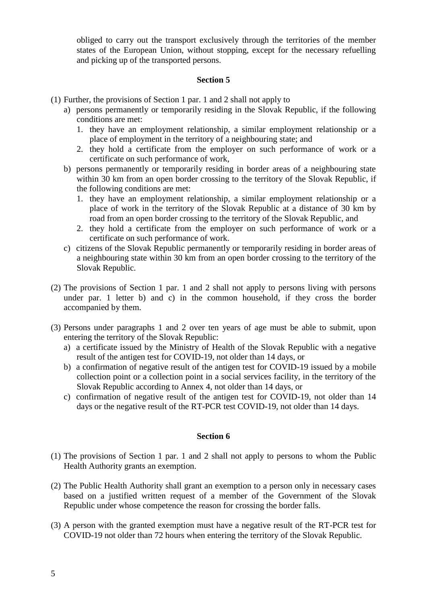obliged to carry out the transport exclusively through the territories of the member states of the European Union, without stopping, except for the necessary refuelling and picking up of the transported persons.

## **Section 5**

- (1) Further, the provisions of Section 1 par. 1 and 2 shall not apply to
	- a) persons permanently or temporarily residing in the Slovak Republic, if the following conditions are met:
		- 1. they have an employment relationship, a similar employment relationship or a place of employment in the territory of a neighbouring state; and
		- 2. they hold a certificate from the employer on such performance of work or a certificate on such performance of work,
	- b) persons permanently or temporarily residing in border areas of a neighbouring state within 30 km from an open border crossing to the territory of the Slovak Republic, if the following conditions are met:
		- 1. they have an employment relationship, a similar employment relationship or a place of work in the territory of the Slovak Republic at a distance of 30 km by road from an open border crossing to the territory of the Slovak Republic, and
		- 2. they hold a certificate from the employer on such performance of work or a certificate on such performance of work.
	- c) citizens of the Slovak Republic permanently or temporarily residing in border areas of a neighbouring state within 30 km from an open border crossing to the territory of the Slovak Republic.
- (2) The provisions of Section 1 par. 1 and 2 shall not apply to persons living with persons under par. 1 letter b) and c) in the common household, if they cross the border accompanied by them.
- (3) Persons under paragraphs 1 and 2 over ten years of age must be able to submit, upon entering the territory of the Slovak Republic:
	- a) a certificate issued by the Ministry of Health of the Slovak Republic with a negative result of the antigen test for COVID-19, not older than 14 days, or
	- b) a confirmation of negative result of the antigen test for COVID-19 issued by a mobile collection point or a collection point in a social services facility, in the territory of the Slovak Republic according to Annex 4, not older than 14 days, or
	- c) confirmation of negative result of the antigen test for COVID-19, not older than 14 days or the negative result of the RT-PCR test COVID-19, not older than 14 days.

- (1) The provisions of Section 1 par. 1 and 2 shall not apply to persons to whom the Public Health Authority grants an exemption.
- (2) The Public Health Authority shall grant an exemption to a person only in necessary cases based on a justified written request of a member of the Government of the Slovak Republic under whose competence the reason for crossing the border falls.
- (3) A person with the granted exemption must have a negative result of the RT-PCR test for COVID-19 not older than 72 hours when entering the territory of the Slovak Republic.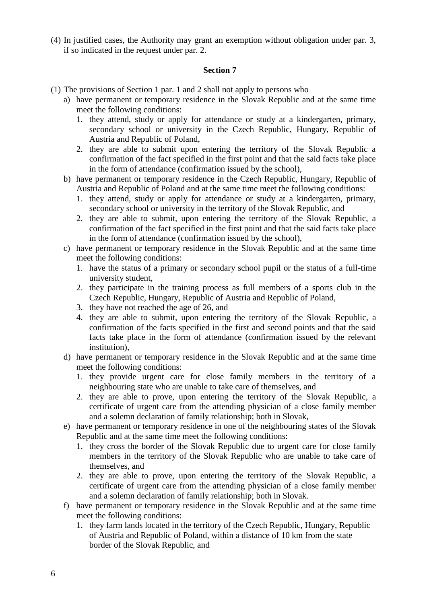(4) In justified cases, the Authority may grant an exemption without obligation under par. 3, if so indicated in the request under par. 2.

- (1) The provisions of Section 1 par. 1 and 2 shall not apply to persons who
	- a) have permanent or temporary residence in the Slovak Republic and at the same time meet the following conditions:
		- 1. they attend, study or apply for attendance or study at a kindergarten, primary, secondary school or university in the Czech Republic, Hungary, Republic of Austria and Republic of Poland,
		- 2. they are able to submit upon entering the territory of the Slovak Republic a confirmation of the fact specified in the first point and that the said facts take place in the form of attendance (confirmation issued by the school),
	- b) have permanent or temporary residence in the Czech Republic, Hungary, Republic of Austria and Republic of Poland and at the same time meet the following conditions:
		- 1. they attend, study or apply for attendance or study at a kindergarten, primary, secondary school or university in the territory of the Slovak Republic, and
		- 2. they are able to submit, upon entering the territory of the Slovak Republic, a confirmation of the fact specified in the first point and that the said facts take place in the form of attendance (confirmation issued by the school),
	- c) have permanent or temporary residence in the Slovak Republic and at the same time meet the following conditions:
		- 1. have the status of a primary or secondary school pupil or the status of a full-time university student,
		- 2. they participate in the training process as full members of a sports club in the Czech Republic, Hungary, Republic of Austria and Republic of Poland,
		- 3. they have not reached the age of 26, and
		- 4. they are able to submit, upon entering the territory of the Slovak Republic, a confirmation of the facts specified in the first and second points and that the said facts take place in the form of attendance (confirmation issued by the relevant institution),
	- d) have permanent or temporary residence in the Slovak Republic and at the same time meet the following conditions:
		- 1. they provide urgent care for close family members in the territory of a neighbouring state who are unable to take care of themselves, and
		- 2. they are able to prove, upon entering the territory of the Slovak Republic, a certificate of urgent care from the attending physician of a close family member and a solemn declaration of family relationship; both in Slovak,
	- e) have permanent or temporary residence in one of the neighbouring states of the Slovak Republic and at the same time meet the following conditions:
		- 1. they cross the border of the Slovak Republic due to urgent care for close family members in the territory of the Slovak Republic who are unable to take care of themselves, and
		- 2. they are able to prove, upon entering the territory of the Slovak Republic, a certificate of urgent care from the attending physician of a close family member and a solemn declaration of family relationship; both in Slovak.
	- f) have permanent or temporary residence in the Slovak Republic and at the same time meet the following conditions:
		- 1. they farm lands located in the territory of the Czech Republic, Hungary, Republic of Austria and Republic of Poland, within a distance of 10 km from the state border of the Slovak Republic, and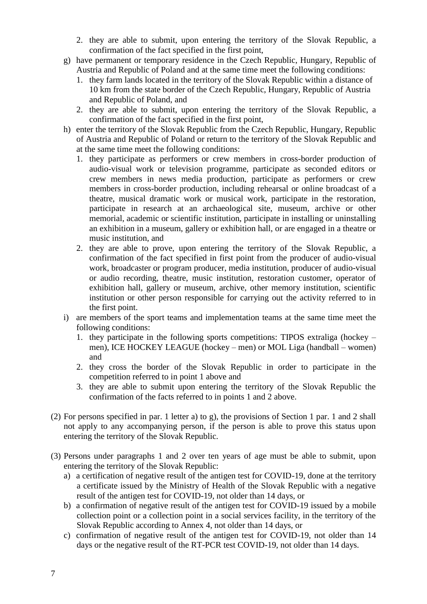- 2. they are able to submit, upon entering the territory of the Slovak Republic, a confirmation of the fact specified in the first point,
- g) have permanent or temporary residence in the Czech Republic, Hungary, Republic of Austria and Republic of Poland and at the same time meet the following conditions:
	- 1. they farm lands located in the territory of the Slovak Republic within a distance of 10 km from the state border of the Czech Republic, Hungary, Republic of Austria and Republic of Poland, and
	- 2. they are able to submit, upon entering the territory of the Slovak Republic, a confirmation of the fact specified in the first point,
- h) enter the territory of the Slovak Republic from the Czech Republic, Hungary, Republic of Austria and Republic of Poland or return to the territory of the Slovak Republic and at the same time meet the following conditions:
	- 1. they participate as performers or crew members in cross-border production of audio-visual work or television programme, participate as seconded editors or crew members in news media production, participate as performers or crew members in cross-border production, including rehearsal or online broadcast of a theatre, musical dramatic work or musical work, participate in the restoration, participate in research at an archaeological site, museum, archive or other memorial, academic or scientific institution, participate in installing or uninstalling an exhibition in a museum, gallery or exhibition hall, or are engaged in a theatre or music institution, and
	- 2. they are able to prove, upon entering the territory of the Slovak Republic, a confirmation of the fact specified in first point from the producer of audio-visual work, broadcaster or program producer, media institution, producer of audio-visual or audio recording, theatre, music institution, restoration customer, operator of exhibition hall, gallery or museum, archive, other memory institution, scientific institution or other person responsible for carrying out the activity referred to in the first point.
- i) are members of the sport teams and implementation teams at the same time meet the following conditions:
	- 1. they participate in the following sports competitions: TIPOS extraliga (hockey men), ICE HOCKEY LEAGUE (hockey – men) or MOL Liga (handball – women) and
	- 2. they cross the border of the Slovak Republic in order to participate in the competition referred to in point 1 above and
	- 3. they are able to submit upon entering the territory of the Slovak Republic the confirmation of the facts referred to in points 1 and 2 above.
- (2) For persons specified in par. 1 letter a) to g), the provisions of Section 1 par. 1 and 2 shall not apply to any accompanying person, if the person is able to prove this status upon entering the territory of the Slovak Republic.
- (3) Persons under paragraphs 1 and 2 over ten years of age must be able to submit, upon entering the territory of the Slovak Republic:
	- a) a certification of negative result of the antigen test for COVID-19, done at the territory a certificate issued by the Ministry of Health of the Slovak Republic with a negative result of the antigen test for COVID-19, not older than 14 days, or
	- b) a confirmation of negative result of the antigen test for COVID-19 issued by a mobile collection point or a collection point in a social services facility, in the territory of the Slovak Republic according to Annex 4, not older than 14 days, or
	- c) confirmation of negative result of the antigen test for COVID-19, not older than 14 days or the negative result of the RT-PCR test COVID-19, not older than 14 days.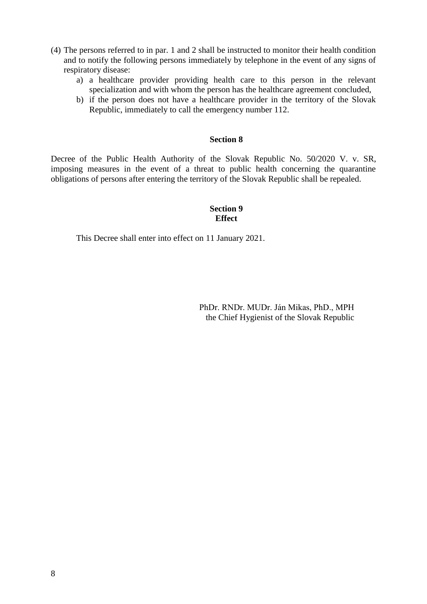- (4) The persons referred to in par. 1 and 2 shall be instructed to monitor their health condition and to notify the following persons immediately by telephone in the event of any signs of respiratory disease:
	- a) a healthcare provider providing health care to this person in the relevant specialization and with whom the person has the healthcare agreement concluded,
	- b) if the person does not have a healthcare provider in the territory of the Slovak Republic, immediately to call the emergency number 112.

## **Section 8**

Decree of the Public Health Authority of the Slovak Republic No. 50/2020 V. v. SR, imposing measures in the event of a threat to public health concerning the quarantine obligations of persons after entering the territory of the Slovak Republic shall be repealed.

## **Section 9 Effect**

This Decree shall enter into effect on 11 January 2021.

 PhDr. RNDr. MUDr. Ján Mikas, PhD., MPH the Chief Hygienist of the Slovak Republic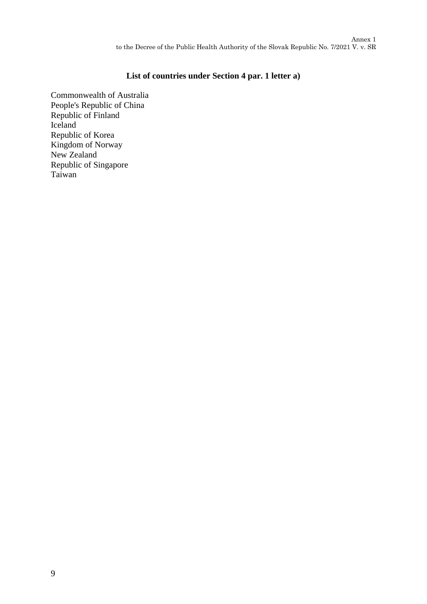## **List of countries under Section 4 par. 1 letter a)**

Commonwealth of Australia People's Republic of China Republic of Finland Iceland Republic of Korea Kingdom of Norway New Zealand Republic of Singapore Taiwan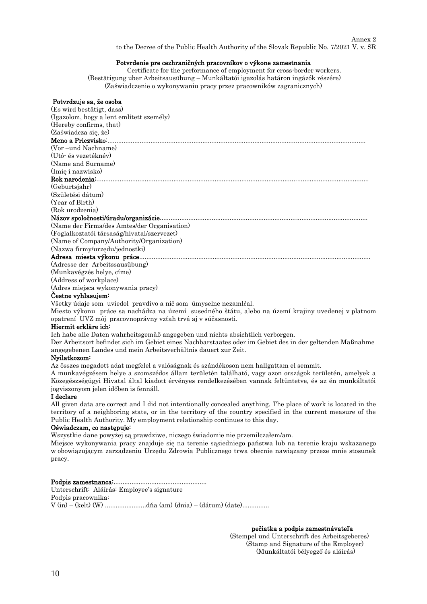#### $\Delta$ nnov 9 to the Decree of the Public Health Authority of the Slovak Republic No. 7/2021 V. v. SR

#### Potvrdenie pre cezhraničných pracovníkov o výkone zamestnania

Certificate for the performance of employment for cross-border workers. (Bestätigung uber Arbeitsausübung – Munkáltatói igazolás határon ingázók részére) (Zaświadczenie o wykonywaniu pracy przez pracowników zagranicznych)

#### Potvrdzuje sa, že osoba

(Es wird bestätigt, dass) (Igazolom, hogy a lent említett személy) (Hereby confirms, that) (Zaświadcza się, że) Meno a Priezvisko:...... (Vor –und Nachname) (Utó- és vezetéknév) (Name and Surname) (Imię i nazwisko) Rok narodenia:........................................................................................................................................................ (Geburtsjahr) (Születési dátum) (Year of Birth) (Rok urodzenia) Názov spoločnosti/úradu/organizácie.................................................................................................................... (Name der Firma/des Amtes/der Organisation) (Foglalkoztatói társaság/hivatal/szervezet) (Name of Company/Authority/Organization) (Nazwa firmy/urzędu/jednostki) Adresa miesta výkonu práce.................................................................................................................................

(Adresse der Arbeitssausübung) (Munkavégzés helye, címe) (Address of workplace) (Adres miejsca wykonywania pracy)

#### Čestne vyhlasujem:

Všetky údaje som uviedol pravdivo a nič som úmyselne nezamlčal.

Miesto výkonu práce sa nachádza na území susedného štátu, alebo na území krajiny uvedenej v platnom opatrení UVZ môj pracovnoprávny vzťah trvá aj v súčasnosti.

#### Hiermit erkläre ich:

Ich habe alle Daten wahrheitsgemäß angegeben und nichts absichtlich verborgen.

Der Arbeitsort befindet sich im Gebiet eines Nachbarstaates oder im Gebiet des in der geltenden Maßnahme angegebenen Landes und mein Arbeitsverhältnis dauert zur Zeit.

#### Nyilatkozom:

Az összes megadott adat megfelel a valóságnak és szándékoson nem hallgattam el semmit.

A munkavégzésem helye a szomszédos állam területén található, vagy azon országok területén, amelyek a Közegészségügyi Hivatal által kiadott érvényes rendelkezésében vannak feltüntetve, és az én munkáltatói jogviszonyom jelen időben is fennáll.

#### I declare

All given data are correct and I did not intentionally concealed anything. The place of work is located in the territory of a neighboring state, or in the territory of the country specified in the current measure of the Public Health Authority. My employment relationship continues to this day.

#### Oświadczam, co następuje:

Wszystkie dane powyżej są prawdziwe, niczego świadomie nie przemilczałem/am.

Miejsce wykonywania pracy znajduje się na terenie sąsiedniego państwa lub na terenie kraju wskazanego w obowiązującym zarządzeniu Urzędu Zdrowia Publicznego trwa obecnie nawiązany przeze mnie stosunek pracy.

Podpis zamestnanca:.................................................... Unterschrift: Aláírás: Employee's signature Podpis pracownika: V (in) – (kelt) (W) .......................dňa (am) (dnia) – (dátum) (date)...............

> pečiatka a podpis zamestnávateľa (Stempel und Unterschrift des Arbeitsgeberes) (Stamp and Signature of the Employer)

(Munkáltatói bélyegző és aláírás)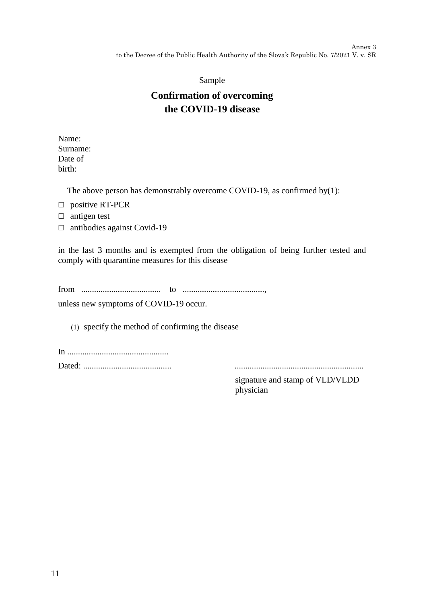Annex 3 to the Decree of the Public Health Authority of the Slovak Republic No. 7/2021 V. v. SR

## Sample

# **Confirmation of overcoming the COVID-19 disease**

Name: Surname: Date of birth:

The above person has demonstrably overcome COVID-19, as confirmed by(1):

- □ positive RT-PCR
- $\Box$  antigen test
- $\Box$  antibodies against Covid-19

in the last 3 months and is exempted from the obligation of being further tested and comply with quarantine measures for this disease

from ..................................... to ......................................,

unless new symptoms of COVID-19 occur.

(1) specify the method of confirming the disease

In ............................................... Dated: ......................................... ............................................................

signature and stamp of VLD/VLDD physician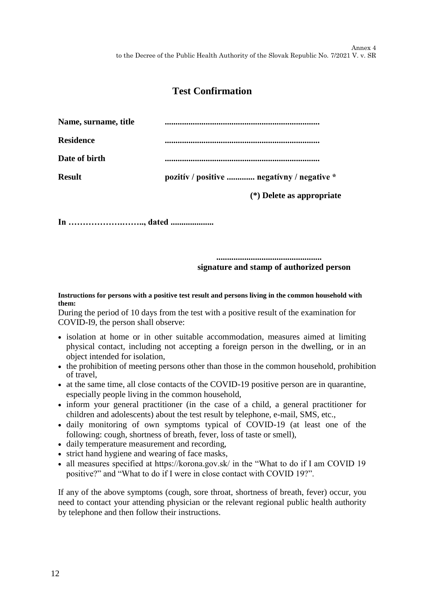## **Test Confirmation**

| Name, surname, title |                                            |
|----------------------|--------------------------------------------|
| <b>Residence</b>     |                                            |
| Date of birth        |                                            |
| <b>Result</b>        | pozitív / positive  negatívny / negative * |
|                      | $(*)$ Delete as appropriate                |

**In ……………….…….., dated ....................**

**................................................. signature and stamp of authorized person**

#### **Instructions for persons with a positive test result and persons living in the common household with them:**

During the period of 10 days from the test with a positive result of the examination for COVID-I9, the person shall observe:

- isolation at home or in other suitable accommodation, measures aimed at limiting physical contact, including not accepting a foreign person in the dwelling, or in an object intended for isolation,
- the prohibition of meeting persons other than those in the common household, prohibition of travel,
- at the same time, all close contacts of the COVID-19 positive person are in quarantine, especially people living in the common household,
- inform your general practitioner (in the case of a child, a general practitioner for children and adolescents) about the test result by telephone, e-mail, SMS, etc.,
- daily monitoring of own symptoms typical of COVID-19 (at least one of the following: cough, shortness of breath, fever, loss of taste or smell),
- daily temperature measurement and recording,
- strict hand hygiene and wearing of face masks,
- all measures specified at https://korona.gov.sk/ in the "What to do if I am COVID 19 positive?" and "What to do if I were in close contact with COVID 19?".

If any of the above symptoms (cough, sore throat, shortness of breath, fever) occur, you need to contact your attending physician or the relevant regional public health authority by telephone and then follow their instructions.